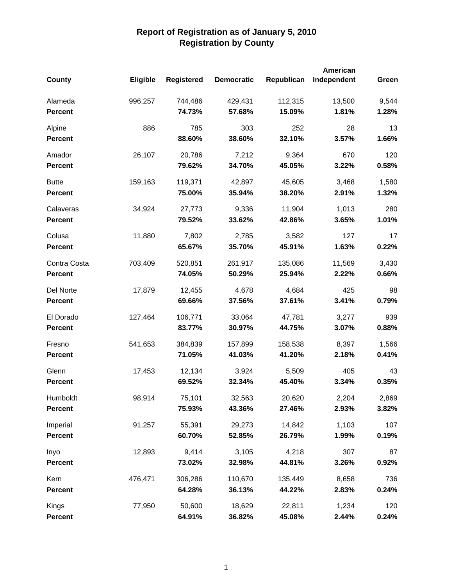|                |          |                   |                   |            | American    |       |
|----------------|----------|-------------------|-------------------|------------|-------------|-------|
| <b>County</b>  | Eligible | <b>Registered</b> | <b>Democratic</b> | Republican | Independent | Green |
| Alameda        | 996,257  | 744,486           | 429,431           | 112,315    | 13,500      | 9,544 |
| <b>Percent</b> |          | 74.73%            | 57.68%            | 15.09%     | 1.81%       | 1.28% |
| Alpine         | 886      | 785               | 303               | 252        | 28          | 13    |
| <b>Percent</b> |          | 88.60%            | 38.60%            | 32.10%     | 3.57%       | 1.66% |
| Amador         | 26,107   | 20,786            | 7,212             | 9,364      | 670         | 120   |
| <b>Percent</b> |          | 79.62%            | 34.70%            | 45.05%     | 3.22%       | 0.58% |
| <b>Butte</b>   | 159,163  | 119,371           | 42,897            | 45,605     | 3,468       | 1,580 |
| <b>Percent</b> |          | 75.00%            | 35.94%            | 38.20%     | 2.91%       | 1.32% |
| Calaveras      | 34,924   | 27,773            | 9,336             | 11,904     | 1,013       | 280   |
| <b>Percent</b> |          | 79.52%            | 33.62%            | 42.86%     | 3.65%       | 1.01% |
| Colusa         | 11,880   | 7,802             | 2,785             | 3,582      | 127         | 17    |
| <b>Percent</b> |          | 65.67%            | 35.70%            | 45.91%     | 1.63%       | 0.22% |
| Contra Costa   | 703,409  | 520,851           | 261,917           | 135,086    | 11,569      | 3,430 |
| <b>Percent</b> |          | 74.05%            | 50.29%            | 25.94%     | 2.22%       | 0.66% |
| Del Norte      | 17,879   | 12,455            | 4,678             | 4,684      | 425         | 98    |
| <b>Percent</b> |          | 69.66%            | 37.56%            | 37.61%     | 3.41%       | 0.79% |
| El Dorado      | 127,464  | 106,771           | 33,064            | 47,781     | 3,277       | 939   |
| <b>Percent</b> |          | 83.77%            | 30.97%            | 44.75%     | 3.07%       | 0.88% |
| Fresno         | 541,653  | 384,839           | 157,899           | 158,538    | 8,397       | 1,566 |
| <b>Percent</b> |          | 71.05%            | 41.03%            | 41.20%     | 2.18%       | 0.41% |
| Glenn          | 17,453   | 12,134            | 3,924             | 5,509      | 405         | 43    |
| <b>Percent</b> |          | 69.52%            | 32.34%            | 45.40%     | 3.34%       | 0.35% |
| Humboldt       | 98,914   | 75,101            | 32,563            | 20,620     | 2,204       | 2,869 |
| <b>Percent</b> |          | 75.93%            | 43.36%            | 27.46%     | 2.93%       | 3.82% |
| Imperial       | 91,257   | 55,391            | 29,273            | 14,842     | 1,103       | 107   |
| <b>Percent</b> |          | 60.70%            | 52.85%            | 26.79%     | 1.99%       | 0.19% |
| Inyo           | 12,893   | 9,414             | 3,105             | 4,218      | 307         | 87    |
| <b>Percent</b> |          | 73.02%            | 32.98%            | 44.81%     | 3.26%       | 0.92% |
| Kern           | 476,471  | 306,286           | 110,670           | 135,449    | 8,658       | 736   |
| <b>Percent</b> |          | 64.28%            | 36.13%            | 44.22%     | 2.83%       | 0.24% |
| Kings          | 77,950   | 50,600            | 18,629            | 22,811     | 1,234       | 120   |
| <b>Percent</b> |          | 64.91%            | 36.82%            | 45.08%     | 2.44%       | 0.24% |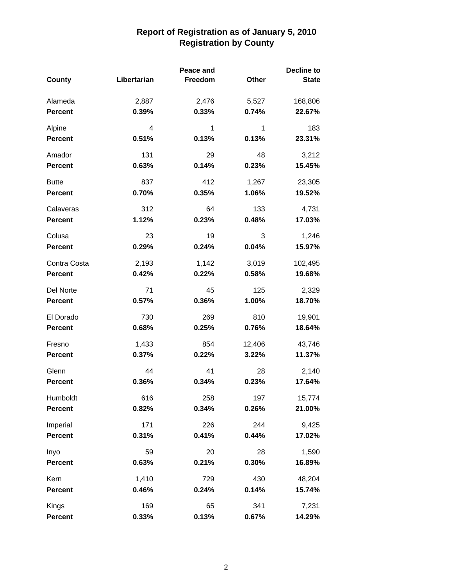|                |             | Peace and |        | <b>Decline to</b> |
|----------------|-------------|-----------|--------|-------------------|
| <b>County</b>  | Libertarian | Freedom   | Other  | <b>State</b>      |
| Alameda        | 2,887       | 2,476     | 5,527  | 168,806           |
| <b>Percent</b> | 0.39%       | 0.33%     | 0.74%  | 22.67%            |
| Alpine         | 4           | 1         | 1      | 183               |
| <b>Percent</b> | 0.51%       | 0.13%     | 0.13%  | 23.31%            |
| Amador         | 131         | 29        | 48     | 3,212             |
| <b>Percent</b> | 0.63%       | 0.14%     | 0.23%  | 15.45%            |
| <b>Butte</b>   | 837         | 412       | 1,267  | 23,305            |
| <b>Percent</b> | 0.70%       | 0.35%     | 1.06%  | 19.52%            |
| Calaveras      | 312         | 64        | 133    | 4,731             |
| <b>Percent</b> | 1.12%       | 0.23%     | 0.48%  | 17.03%            |
| Colusa         | 23          | 19        | 3      | 1,246             |
| <b>Percent</b> | 0.29%       | 0.24%     | 0.04%  | 15.97%            |
| Contra Costa   | 2,193       | 1,142     | 3,019  | 102,495           |
| <b>Percent</b> | 0.42%       | 0.22%     | 0.58%  | 19.68%            |
| Del Norte      | 71          | 45        | 125    | 2,329             |
| <b>Percent</b> | 0.57%       | 0.36%     | 1.00%  | 18.70%            |
| El Dorado      | 730         | 269       | 810    | 19,901            |
| <b>Percent</b> | 0.68%       | 0.25%     | 0.76%  | 18.64%            |
| Fresno         | 1,433       | 854       | 12,406 | 43,746            |
| <b>Percent</b> | 0.37%       | 0.22%     | 3.22%  | 11.37%            |
| Glenn          | 44          | 41        | 28     | 2,140             |
| <b>Percent</b> | 0.36%       | 0.34%     | 0.23%  | 17.64%            |
| Humboldt       | 616         | 258       | 197    | 15,774            |
| <b>Percent</b> | 0.82%       | 0.34%     | 0.26%  | 21.00%            |
| Imperial       | 171         | 226       | 244    | 9,425             |
| <b>Percent</b> | 0.31%       | 0.41%     | 0.44%  | 17.02%            |
| Inyo           | 59          | 20        | 28     | 1,590             |
| <b>Percent</b> | 0.63%       | 0.21%     | 0.30%  | 16.89%            |
| Kern           | 1,410       | 729       | 430    | 48,204            |
| <b>Percent</b> | 0.46%       | 0.24%     | 0.14%  | 15.74%            |
| Kings          | 169         | 65        | 341    | 7,231             |
| <b>Percent</b> | 0.33%       | 0.13%     | 0.67%  | 14.29%            |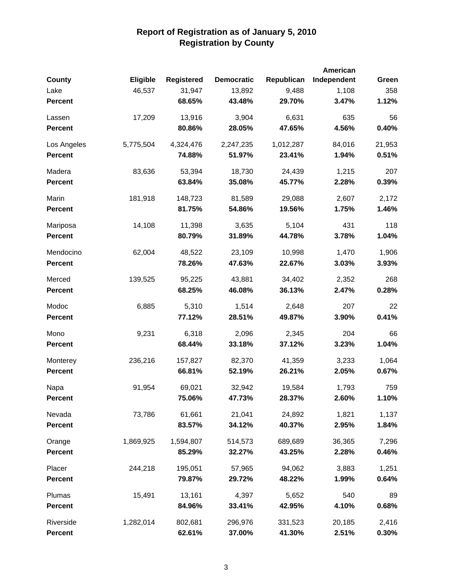|                |           |                   |                   |            | American    |        |
|----------------|-----------|-------------------|-------------------|------------|-------------|--------|
| <b>County</b>  | Eligible  | <b>Registered</b> | <b>Democratic</b> | Republican | Independent | Green  |
| Lake           | 46,537    | 31,947            | 13,892            | 9,488      | 1,108       | 358    |
| <b>Percent</b> |           | 68.65%            | 43.48%            | 29.70%     | 3.47%       | 1.12%  |
| Lassen         | 17,209    | 13,916            | 3,904             | 6,631      | 635         | 56     |
| <b>Percent</b> |           | 80.86%            | 28.05%            | 47.65%     | 4.56%       | 0.40%  |
| Los Angeles    | 5,775,504 | 4,324,476         | 2,247,235         | 1,012,287  | 84,016      | 21,953 |
| <b>Percent</b> |           | 74.88%            | 51.97%            | 23.41%     | 1.94%       | 0.51%  |
| Madera         | 83,636    | 53,394            | 18,730            | 24,439     | 1,215       | 207    |
| <b>Percent</b> |           | 63.84%            | 35.08%            | 45.77%     | 2.28%       | 0.39%  |
| Marin          | 181,918   | 148,723           | 81,589            | 29,088     | 2,607       | 2,172  |
| <b>Percent</b> |           | 81.75%            | 54.86%            | 19.56%     | 1.75%       | 1.46%  |
| Mariposa       | 14,108    | 11,398            | 3,635             | 5,104      | 431         | 118    |
| <b>Percent</b> |           | 80.79%            | 31.89%            | 44.78%     | 3.78%       | 1.04%  |
| Mendocino      | 62,004    | 48,522            | 23,109            | 10,998     | 1,470       | 1,906  |
| <b>Percent</b> |           | 78.26%            | 47.63%            | 22.67%     | 3.03%       | 3.93%  |
| Merced         | 139,525   | 95,225            | 43,881            | 34,402     | 2,352       | 268    |
| <b>Percent</b> |           | 68.25%            | 46.08%            | 36.13%     | 2.47%       | 0.28%  |
| Modoc          | 6,885     | 5,310             | 1,514             | 2,648      | 207         | 22     |
| <b>Percent</b> |           | 77.12%            | 28.51%            | 49.87%     | 3.90%       | 0.41%  |
| Mono           | 9,231     | 6,318             | 2,096             | 2,345      | 204         | 66     |
| <b>Percent</b> |           | 68.44%            | 33.18%            | 37.12%     | 3.23%       | 1.04%  |
| Monterey       | 236,216   | 157,827           | 82,370            | 41,359     | 3,233       | 1,064  |
| <b>Percent</b> |           | 66.81%            | 52.19%            | 26.21%     | 2.05%       | 0.67%  |
| Napa           | 91,954    | 69,021            | 32,942            | 19,584     | 1,793       | 759    |
| <b>Percent</b> |           | 75.06%            | 47.73%            | 28.37%     | 2.60%       | 1.10%  |
| Nevada         | 73,786    | 61,661            | 21,041            | 24,892     | 1,821       | 1,137  |
| <b>Percent</b> |           | 83.57%            | 34.12%            | 40.37%     | 2.95%       | 1.84%  |
| Orange         | 1,869,925 | 1,594,807         | 514,573           | 689,689    | 36,365      | 7,296  |
| <b>Percent</b> |           | 85.29%            | 32.27%            | 43.25%     | 2.28%       | 0.46%  |
| Placer         | 244,218   | 195,051           | 57,965            | 94,062     | 3,883       | 1,251  |
| <b>Percent</b> |           | 79.87%            | 29.72%            | 48.22%     | 1.99%       | 0.64%  |
| Plumas         | 15,491    | 13,161            | 4,397             | 5,652      | 540         | 89     |
| <b>Percent</b> |           | 84.96%            | 33.41%            | 42.95%     | 4.10%       | 0.68%  |
| Riverside      | 1,282,014 | 802,681           | 296,976           | 331,523    | 20,185      | 2,416  |
| <b>Percent</b> |           | 62.61%            | 37.00%            | 41.30%     | 2.51%       | 0.30%  |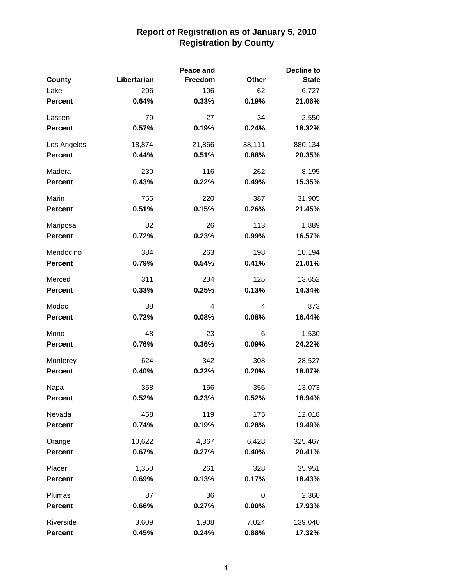|                |             | Peace and |        | <b>Decline to</b> |
|----------------|-------------|-----------|--------|-------------------|
| <b>County</b>  | Libertarian | Freedom   | Other  | <b>State</b>      |
| Lake           | 206         | 106       | 62     | 6,727             |
| <b>Percent</b> | 0.64%       | 0.33%     | 0.19%  | 21.06%            |
| Lassen         | 79          | 27        | 34     | 2,550             |
| <b>Percent</b> | 0.57%       | 0.19%     | 0.24%  | 18.32%            |
| Los Angeles    | 18,874      | 21,866    | 38,111 | 880,134           |
| <b>Percent</b> | 0.44%       | 0.51%     | 0.88%  | 20.35%            |
| Madera         | 230         | 116       | 262    | 8,195             |
| <b>Percent</b> | 0.43%       | 0.22%     | 0.49%  | 15.35%            |
| Marin          | 755         | 220       | 387    | 31,905            |
| <b>Percent</b> | 0.51%       | 0.15%     | 0.26%  | 21.45%            |
| Mariposa       | 82          | 26        | 113    | 1,889             |
| <b>Percent</b> | 0.72%       | 0.23%     | 0.99%  | 16.57%            |
| Mendocino      | 384         | 263       | 198    | 10,194            |
| <b>Percent</b> | 0.79%       | 0.54%     | 0.41%  | 21.01%            |
| Merced         | 311         | 234       | 125    | 13,652            |
| <b>Percent</b> | 0.33%       | 0.25%     | 0.13%  | 14.34%            |
| Modoc          | 38          | 4         | 4      | 873               |
| <b>Percent</b> | 0.72%       | 0.08%     | 0.08%  | 16.44%            |
| Mono           | 48          | 23        | 6      | 1,530             |
| <b>Percent</b> | 0.76%       | 0.36%     | 0.09%  | 24.22%            |
| Monterey       | 624         | 342       | 308    | 28,527            |
| <b>Percent</b> | 0.40%       | 0.22%     | 0.20%  | 18.07%            |
| Napa           | 358         | 156       | 356    | 13,073            |
| <b>Percent</b> | 0.52%       | 0.23%     | 0.52%  | 18.94%            |
| Nevada         | 458         | 119       | 175    | 12,018            |
| <b>Percent</b> | 0.74%       | 0.19%     | 0.28%  | 19.49%            |
| Orange         | 10,622      | 4,367     | 6,428  | 325,467           |
| <b>Percent</b> | 0.67%       | 0.27%     | 0.40%  | 20.41%            |
| Placer         | 1,350       | 261       | 328    | 35,951            |
| <b>Percent</b> | 0.69%       | 0.13%     | 0.17%  | 18.43%            |
| Plumas         | 87          | 36        | 0      | 2,360             |
| Percent        | 0.66%       | 0.27%     | 0.00%  | 17.93%            |
| Riverside      | 3,609       | 1,908     | 7,024  | 139,040           |
| <b>Percent</b> | 0.45%       | 0.24%     | 0.88%  | 17.32%            |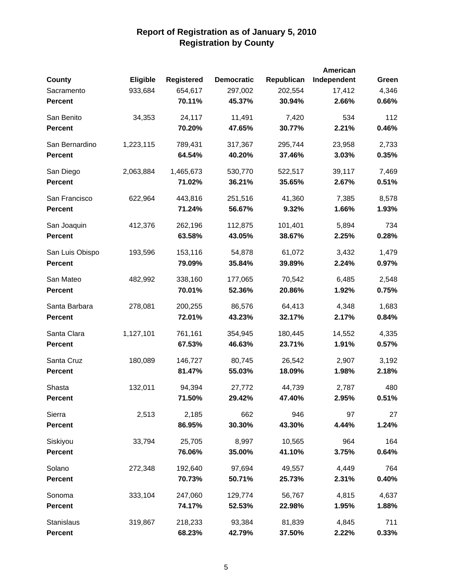|                 |           |                   |                   |            | American    |       |
|-----------------|-----------|-------------------|-------------------|------------|-------------|-------|
| <b>County</b>   | Eligible  | <b>Registered</b> | <b>Democratic</b> | Republican | Independent | Green |
| Sacramento      | 933,684   | 654,617           | 297,002           | 202,554    | 17,412      | 4,346 |
| <b>Percent</b>  |           | 70.11%            | 45.37%            | 30.94%     | 2.66%       | 0.66% |
| San Benito      | 34,353    | 24,117            | 11,491            | 7,420      | 534         | 112   |
| <b>Percent</b>  |           | 70.20%            | 47.65%            | 30.77%     | 2.21%       | 0.46% |
| San Bernardino  | 1,223,115 | 789,431           | 317,367           | 295,744    | 23,958      | 2,733 |
| <b>Percent</b>  |           | 64.54%            | 40.20%            | 37.46%     | 3.03%       | 0.35% |
| San Diego       | 2,063,884 | 1,465,673         | 530,770           | 522,517    | 39,117      | 7,469 |
| <b>Percent</b>  |           | 71.02%            | 36.21%            | 35.65%     | 2.67%       | 0.51% |
| San Francisco   | 622,964   | 443,816           | 251,516           | 41,360     | 7,385       | 8,578 |
| <b>Percent</b>  |           | 71.24%            | 56.67%            | 9.32%      | 1.66%       | 1.93% |
| San Joaquin     | 412,376   | 262,196           | 112,875           | 101,401    | 5,894       | 734   |
| <b>Percent</b>  |           | 63.58%            | 43.05%            | 38.67%     | 2.25%       | 0.28% |
| San Luis Obispo | 193,596   | 153,116           | 54,878            | 61,072     | 3,432       | 1,479 |
| <b>Percent</b>  |           | 79.09%            | 35.84%            | 39.89%     | 2.24%       | 0.97% |
| San Mateo       | 482,992   | 338,160           | 177,065           | 70,542     | 6,485       | 2,548 |
| <b>Percent</b>  |           | 70.01%            | 52.36%            | 20.86%     | 1.92%       | 0.75% |
| Santa Barbara   | 278,081   | 200,255           | 86,576            | 64,413     | 4,348       | 1,683 |
| <b>Percent</b>  |           | 72.01%            | 43.23%            | 32.17%     | 2.17%       | 0.84% |
| Santa Clara     | 1,127,101 | 761,161           | 354,945           | 180,445    | 14,552      | 4,335 |
| <b>Percent</b>  |           | 67.53%            | 46.63%            | 23.71%     | 1.91%       | 0.57% |
| Santa Cruz      | 180,089   | 146,727           | 80,745            | 26,542     | 2,907       | 3,192 |
| <b>Percent</b>  |           | 81.47%            | 55.03%            | 18.09%     | 1.98%       | 2.18% |
| Shasta          | 132,011   | 94,394            | 27,772            | 44,739     | 2,787       | 480   |
| <b>Percent</b>  |           | 71.50%            | 29.42%            | 47.40%     | 2.95%       | 0.51% |
| Sierra          | 2,513     | 2,185             | 662               | 946        | 97          | 27    |
| <b>Percent</b>  |           | 86.95%            | 30.30%            | 43.30%     | 4.44%       | 1.24% |
| Siskiyou        | 33,794    | 25,705            | 8,997             | 10,565     | 964         | 164   |
| <b>Percent</b>  |           | 76.06%            | 35.00%            | 41.10%     | 3.75%       | 0.64% |
| Solano          | 272,348   | 192,640           | 97,694            | 49,557     | 4,449       | 764   |
| <b>Percent</b>  |           | 70.73%            | 50.71%            | 25.73%     | 2.31%       | 0.40% |
| Sonoma          | 333,104   | 247,060           | 129,774           | 56,767     | 4,815       | 4,637 |
| <b>Percent</b>  |           | 74.17%            | 52.53%            | 22.98%     | 1.95%       | 1.88% |
| Stanislaus      | 319,867   | 218,233           | 93,384            | 81,839     | 4,845       | 711   |
| <b>Percent</b>  |           | 68.23%            | 42.79%            | 37.50%     | 2.22%       | 0.33% |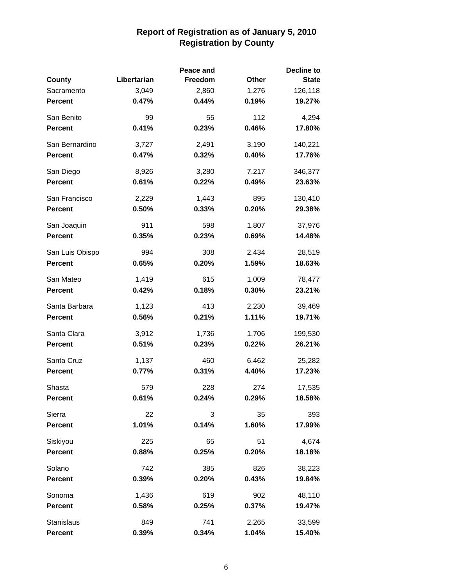|                 |             | Peace and | <b>Decline to</b> |              |  |
|-----------------|-------------|-----------|-------------------|--------------|--|
| County          | Libertarian | Freedom   | Other             | <b>State</b> |  |
| Sacramento      | 3,049       | 2,860     | 1,276             | 126,118      |  |
| <b>Percent</b>  | 0.47%       | 0.44%     | 0.19%             | 19.27%       |  |
| San Benito      | 99          | 55        | 112               | 4,294        |  |
| <b>Percent</b>  | 0.41%       | 0.23%     | 0.46%             | 17.80%       |  |
| San Bernardino  | 3,727       | 2,491     | 3,190             | 140,221      |  |
| <b>Percent</b>  | 0.47%       | 0.32%     | 0.40%             | 17.76%       |  |
| San Diego       | 8,926       | 3,280     | 7,217             | 346,377      |  |
| <b>Percent</b>  | 0.61%       | 0.22%     | 0.49%             | 23.63%       |  |
| San Francisco   | 2,229       | 1,443     | 895               | 130,410      |  |
| <b>Percent</b>  | 0.50%       | 0.33%     | 0.20%             | 29.38%       |  |
| San Joaquin     | 911         | 598       | 1,807             | 37,976       |  |
| <b>Percent</b>  | 0.35%       | 0.23%     | 0.69%             | 14.48%       |  |
| San Luis Obispo | 994         | 308       | 2,434             | 28,519       |  |
| <b>Percent</b>  | 0.65%       | 0.20%     | 1.59%             | 18.63%       |  |
| San Mateo       | 1,419       | 615       | 1,009             | 78,477       |  |
| <b>Percent</b>  | 0.42%       | 0.18%     | 0.30%             | 23.21%       |  |
| Santa Barbara   | 1,123       | 413       | 2,230             | 39,469       |  |
| <b>Percent</b>  | 0.56%       | 0.21%     | 1.11%             | 19.71%       |  |
| Santa Clara     | 3,912       | 1,736     | 1,706             | 199,530      |  |
| <b>Percent</b>  | 0.51%       | 0.23%     | 0.22%             | 26.21%       |  |
| Santa Cruz      | 1,137       | 460       | 6,462             | 25,282       |  |
| <b>Percent</b>  | 0.77%       | 0.31%     | 4.40%             | 17.23%       |  |
| Shasta          | 579         | 228       | 274               | 17,535       |  |
| <b>Percent</b>  | 0.61%       | 0.24%     | 0.29%             | 18.58%       |  |
| Sierra          | 22          | 3         | 35                | 393          |  |
| <b>Percent</b>  | 1.01%       | 0.14%     | 1.60%             | 17.99%       |  |
| Siskiyou        | 225         | 65        | 51                | 4,674        |  |
| <b>Percent</b>  | 0.88%       | 0.25%     | 0.20%             | 18.18%       |  |
| Solano          | 742         | 385       | 826               | 38,223       |  |
| <b>Percent</b>  | 0.39%       | 0.20%     | 0.43%             | 19.84%       |  |
| Sonoma          | 1,436       | 619       | 902               | 48,110       |  |
| <b>Percent</b>  | 0.58%       | 0.25%     | 0.37%             | 19.47%       |  |
| Stanislaus      | 849         | 741       | 2,265             | 33,599       |  |
| <b>Percent</b>  | 0.39%       | 0.34%     | 1.04%             | 15.40%       |  |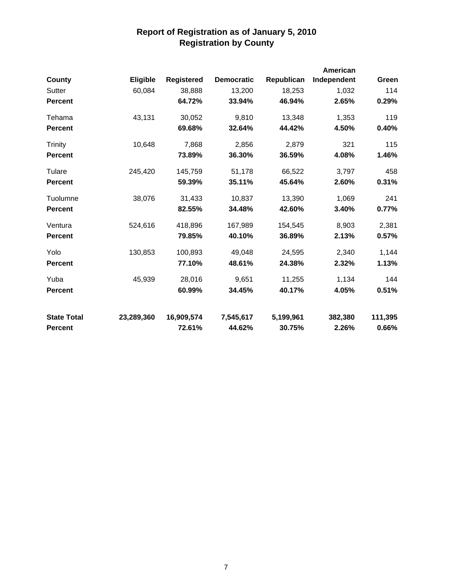|                    |                 |                   |                   |            | American    |         |
|--------------------|-----------------|-------------------|-------------------|------------|-------------|---------|
| County             | <b>Eligible</b> | <b>Registered</b> | <b>Democratic</b> | Republican | Independent | Green   |
| Sutter             | 60,084          | 38,888            | 13,200            | 18,253     | 1,032       | 114     |
| <b>Percent</b>     |                 | 64.72%            | 33.94%            | 46.94%     | 2.65%       | 0.29%   |
| Tehama             | 43,131          | 30,052            | 9,810             | 13,348     | 1,353       | 119     |
| <b>Percent</b>     |                 | 69.68%            | 32.64%            | 44.42%     | 4.50%       | 0.40%   |
| Trinity            | 10,648          | 7,868             | 2,856             | 2,879      | 321         | 115     |
| <b>Percent</b>     |                 | 73.89%            | 36.30%            | 36.59%     | 4.08%       | 1.46%   |
| Tulare             | 245,420         | 145,759           | 51,178            | 66,522     | 3,797       | 458     |
| <b>Percent</b>     |                 | 59.39%            | 35.11%            | 45.64%     | 2.60%       | 0.31%   |
| Tuolumne           | 38,076          | 31,433            | 10,837            | 13,390     | 1,069       | 241     |
| <b>Percent</b>     |                 | 82.55%            | 34.48%            | 42.60%     | 3.40%       | 0.77%   |
| Ventura            | 524,616         | 418,896           | 167,989           | 154,545    | 8,903       | 2,381   |
| <b>Percent</b>     |                 | 79.85%            | 40.10%            | 36.89%     | 2.13%       | 0.57%   |
| Yolo               | 130,853         | 100,893           | 49,048            | 24,595     | 2,340       | 1,144   |
| <b>Percent</b>     |                 | 77.10%            | 48.61%            | 24.38%     | 2.32%       | 1.13%   |
| Yuba               | 45,939          | 28,016            | 9,651             | 11,255     | 1,134       | 144     |
| <b>Percent</b>     |                 | 60.99%            | 34.45%            | 40.17%     | 4.05%       | 0.51%   |
| <b>State Total</b> | 23,289,360      | 16,909,574        | 7,545,617         | 5,199,961  | 382,380     | 111,395 |
| <b>Percent</b>     |                 | 72.61%            | 44.62%            | 30.75%     | 2.26%       | 0.66%   |